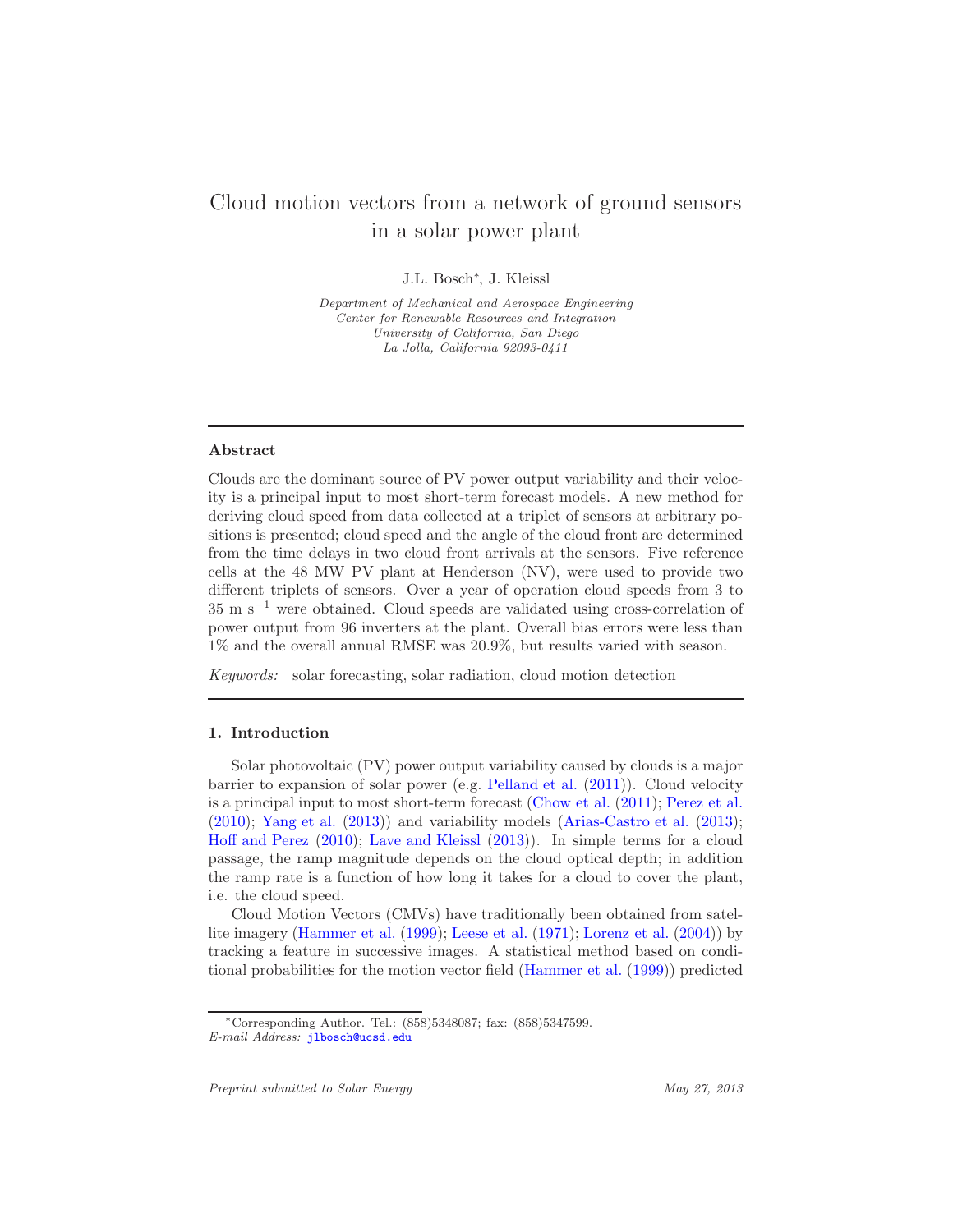# Cloud motion vectors from a network of ground sensors in a solar power plant

J.L. Bosch<sup>∗</sup> , J. Kleissl

Department of Mechanical and Aerospace Engineering Center for Renewable Resources and Integration University of California, San Diego La Jolla, California 92093-0411

# Abstract

Clouds are the dominant source of PV power output variability and their velocity is a principal input to most short-term forecast models. A new method for deriving cloud speed from data collected at a triplet of sensors at arbitrary positions is presented; cloud speed and the angle of the cloud front are determined from the time delays in two cloud front arrivals at the sensors. Five reference cells at the 48 MW PV plant at Henderson (NV), were used to provide two different triplets of sensors. Over a year of operation cloud speeds from 3 to 35 m s<sup>−</sup><sup>1</sup> were obtained. Cloud speeds are validated using cross-correlation of power output from 96 inverters at the plant. Overall bias errors were less than 1% and the overall annual RMSE was 20.9%, but results varied with season.

*Keywords:* solar forecasting, solar radiation, cloud motion detection

# 1. Introduction

Solar photovoltaic (PV) power output variability caused by clouds is a major barrier to expansion of solar power (e.g. [Pelland et al.](#page-15-0) [\(2011\)](#page-15-0)). Cloud velocity is a principal input to most short-term forecast [\(Chow et al.](#page-14-0) [\(2011\)](#page-14-0); [Perez et al.](#page-15-1) [\(2010\)](#page-15-1); [Yang et al.](#page-15-2) [\(2013\)](#page-15-2)) and variability models [\(Arias-Castro et al.](#page-14-1) [\(2013\)](#page-14-1); [Hoff and Perez](#page-15-3) [\(2010\)](#page-15-3); [Lave and Kleissl](#page-15-4) [\(2013\)](#page-15-4)). In simple terms for a cloud passage, the ramp magnitude depends on the cloud optical depth; in addition the ramp rate is a function of how long it takes for a cloud to cover the plant, i.e. the cloud speed.

Cloud Motion Vectors (CMVs) have traditionally been obtained from satellite imagery [\(Hammer et al.](#page-15-5) [\(1999\)](#page-15-5); [Leese et al.](#page-15-6) [\(1971\)](#page-15-6); [Lorenz et al.](#page-15-7) [\(2004\)](#page-15-7)) by tracking a feature in successive images. A statistical method based on conditional probabilities for the motion vector field [\(Hammer et al.](#page-15-5) [\(1999\)](#page-15-5)) predicted

<sup>∗</sup>Corresponding Author. Tel.: (858)5348087; fax: (858)5347599. E-mail Address: <jlbosch@ucsd.edu>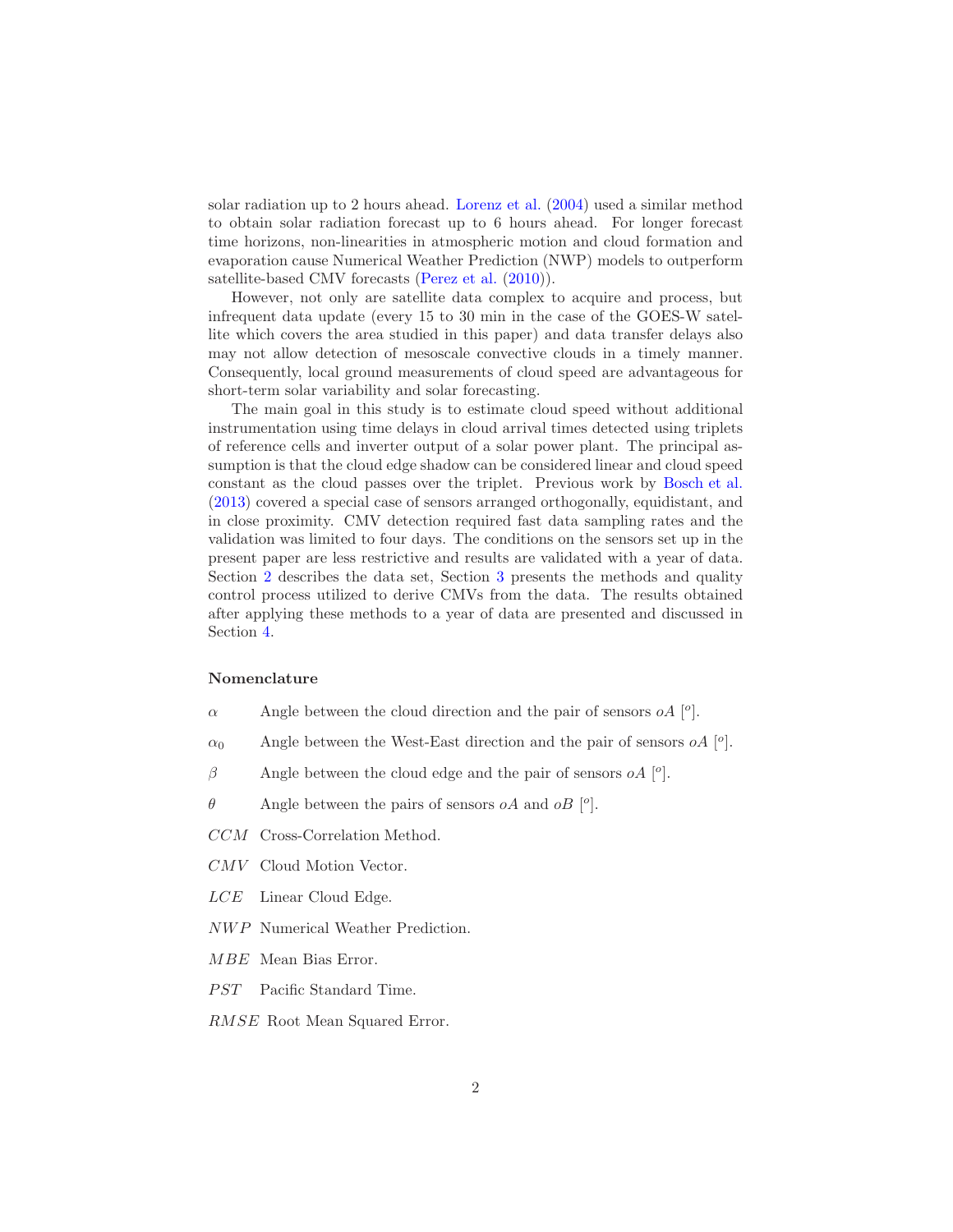solar radiation up to 2 hours ahead. [Lorenz et al.](#page-15-7) [\(2004\)](#page-15-7) used a similar method to obtain solar radiation forecast up to 6 hours ahead. For longer forecast time horizons, non-linearities in atmospheric motion and cloud formation and evaporation cause Numerical Weather Prediction (NWP) models to outperform satellite-based CMV forecasts [\(Perez et al.](#page-15-1) [\(2010\)](#page-15-1)).

However, not only are satellite data complex to acquire and process, but infrequent data update (every 15 to 30 min in the case of the GOES-W satellite which covers the area studied in this paper) and data transfer delays also may not allow detection of mesoscale convective clouds in a timely manner. Consequently, local ground measurements of cloud speed are advantageous for short-term solar variability and solar forecasting.

The main goal in this study is to estimate cloud speed without additional instrumentation using time delays in cloud arrival times detected using triplets of reference cells and inverter output of a solar power plant. The principal assumption is that the cloud edge shadow can be considered linear and cloud speed constant as the cloud passes over the triplet. Previous work by [Bosch et al.](#page-14-2) [\(2013\)](#page-14-2) covered a special case of sensors arranged orthogonally, equidistant, and in close proximity. CMV detection required fast data sampling rates and the validation was limited to four days. The conditions on the sensors set up in the present paper are less restrictive and results are validated with a year of data. Section [2](#page-2-0) describes the data set, Section [3](#page-3-0) presents the methods and quality control process utilized to derive CMVs from the data. The results obtained after applying these methods to a year of data are presented and discussed in Section [4.](#page-10-0)

## Nomenclature

- $\alpha$  Angle between the cloud direction and the pair of sensors  $oA$  [<sup>o</sup>].
- $\alpha_0$  Angle between the West-East direction and the pair of sensors  $oA$  [<sup>o</sup>].
- $\beta$  Angle between the cloud edge and the pair of sensors  $oA$  [<sup>o</sup>].
- $\theta$  Angle between the pairs of sensors *oA* and *oB* [<sup>o</sup>].
- CCM Cross-Correlation Method.
- CMV Cloud Motion Vector.
- LCE Linear Cloud Edge.
- NWP Numerical Weather Prediction.
- MBE Mean Bias Error.
- PST Pacific Standard Time.
- RMSE Root Mean Squared Error.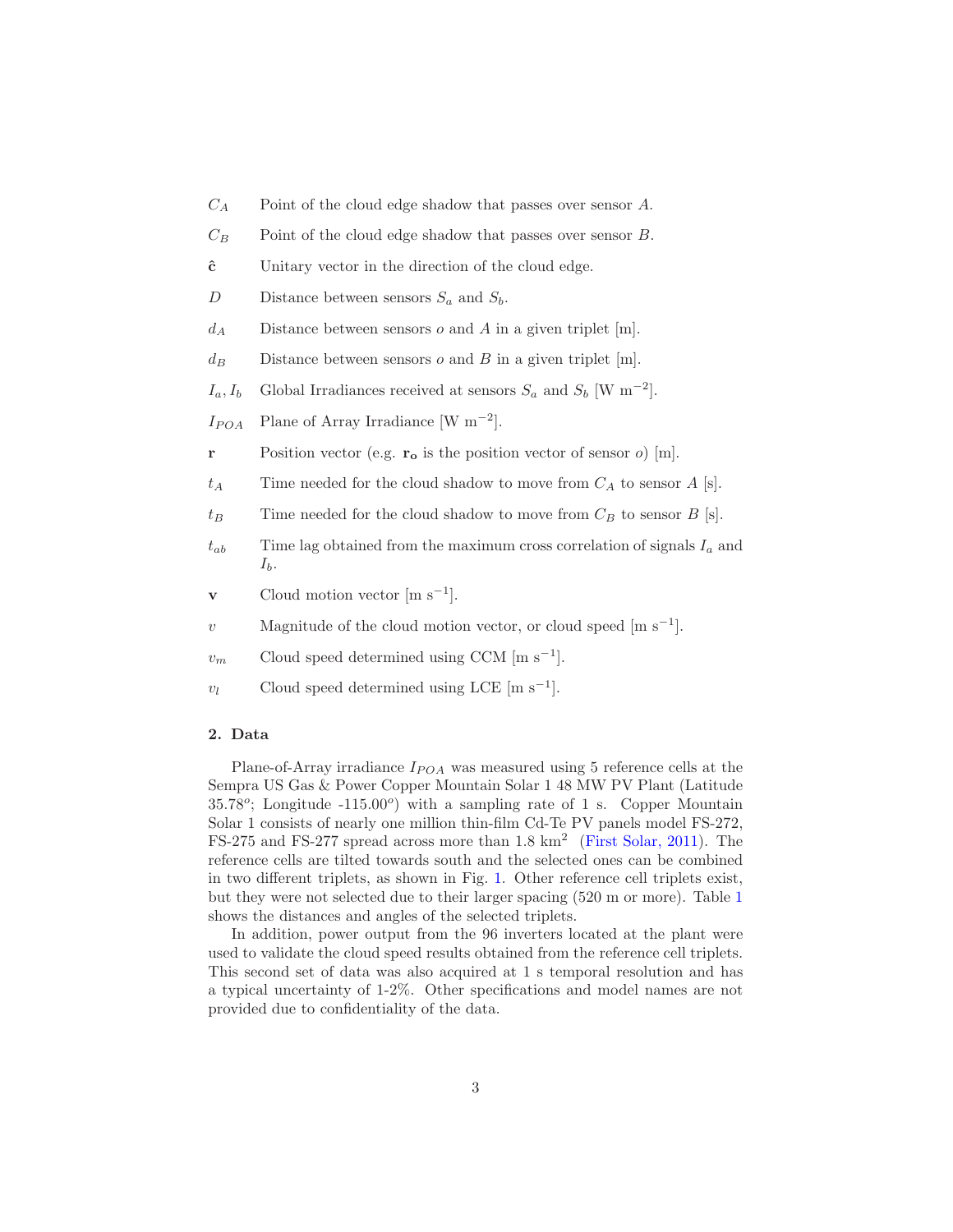- $C_A$  Point of the cloud edge shadow that passes over sensor A.
- $C_B$  Point of the cloud edge shadow that passes over sensor B.
- $\hat{c}$  Unitary vector in the direction of the cloud edge.
- D Distance between sensors  $S_a$  and  $S_b$ .
- $d_A$  Distance between sensors o and A in a given triplet [m].
- $d_B$  Distance between sensors o and B in a given triplet [m].
- $I_a, I_b$  Global Irradiances received at sensors  $S_a$  and  $S_b$  [W m<sup>-2</sup>].
- $I_{POA}$  Plane of Array Irradiance [W m<sup>-2</sup>].
- **r** Position vector (e.g.  $\mathbf{r_o}$  is the position vector of sensor o) [m].
- $t_A$  Time needed for the cloud shadow to move from  $C_A$  to sensor A [s].
- $t_B$  Time needed for the cloud shadow to move from  $C_B$  to sensor  $B$  [s].
- $t_{ab}$  Time lag obtained from the maximum cross correlation of signals  $I_a$  and  $I_b$ .
- **v** Cloud motion vector  $[\text{m s}^{-1}]$ .
- v Magnitude of the cloud motion vector, or cloud speed  $[m s^{-1}]$ .
- $v_m$  Cloud speed determined using CCM [m s<sup>-1</sup>].
- $v_l$  Cloud speed determined using LCE [m s<sup>-1</sup>].

# <span id="page-2-0"></span>2. Data

Plane-of-Array irradiance  $I_{POA}$  was measured using 5 reference cells at the Sempra US Gas & Power Copper Mountain Solar 1 48 MW PV Plant (Latitude  $35.78^\circ$ ; Longitude -115.00<sup>o</sup>) with a sampling rate of 1 s. Copper Mountain Solar 1 consists of nearly one million thin-film Cd-Te [P](#page-14-3)V panels model FS-272, FS-275 and FS-277 spread across more than 1.8 km<sup>2</sup> [\(First Solar, 2011\)](#page-14-3). The reference cells are tilted towards south and the selected ones can be combined in two different triplets, as shown in Fig. [1.](#page-3-1) Other reference cell triplets exist, but they were not selected due to their larger spacing (520 m or more). Table [1](#page-3-2) shows the distances and angles of the selected triplets.

In addition, power output from the 96 inverters located at the plant were used to validate the cloud speed results obtained from the reference cell triplets. This second set of data was also acquired at 1 s temporal resolution and has a typical uncertainty of 1-2%. Other specifications and model names are not provided due to confidentiality of the data.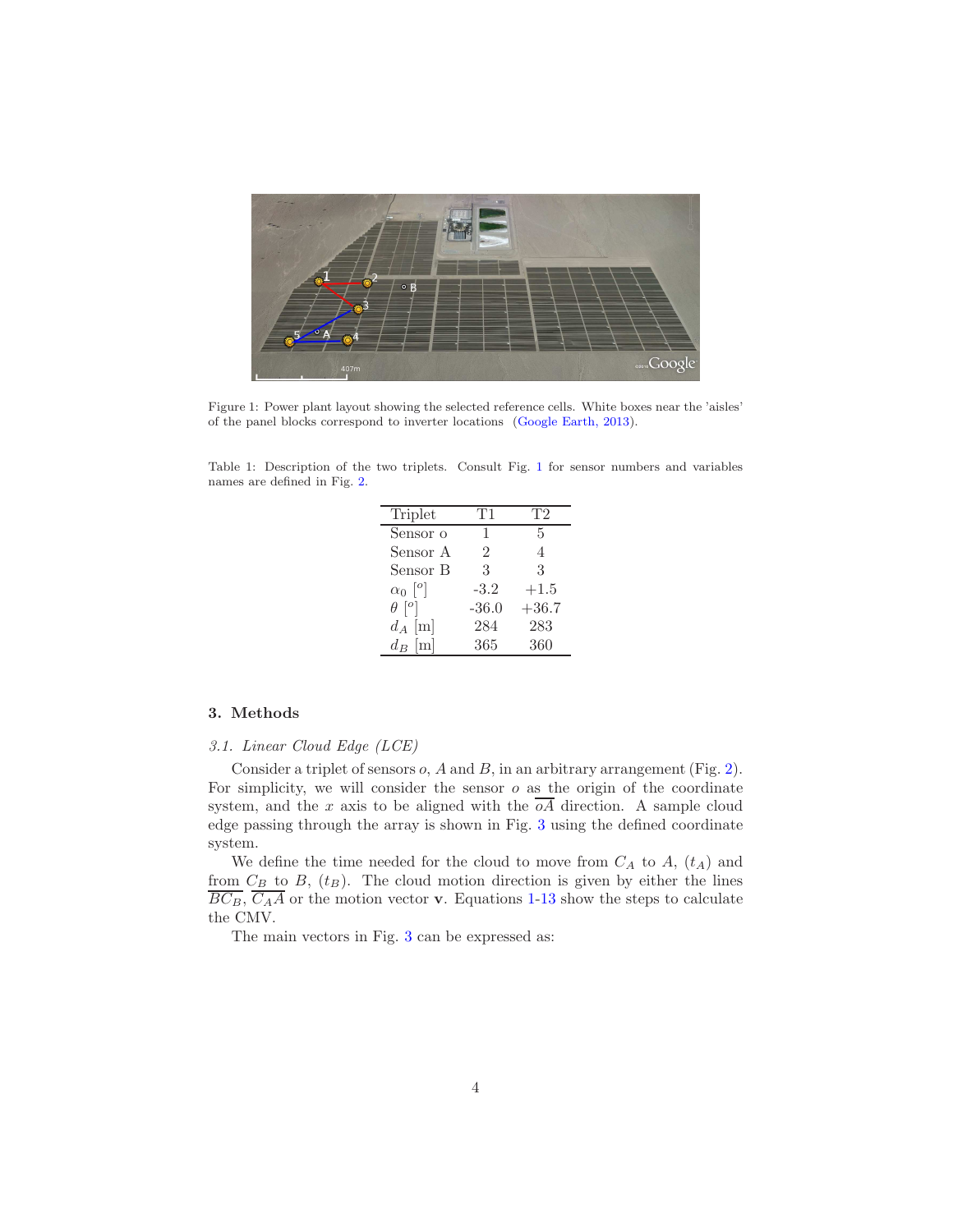

Figure 1: Power plant layout showing the selected reference cells. White boxes near the 'aisles' of the panel blocks correspond to inverter locations [\(Google Earth, 2013\)](#page-14-4).

<span id="page-3-2"></span><span id="page-3-1"></span>Table 1: Description of the two triplets. Consult Fig. [1](#page-3-1) for sensor numbers and variables names are defined in Fig. [2.](#page-4-0)

| Triplet                   | T1      | T2      |
|---------------------------|---------|---------|
| Sensor o                  | 1       | 5       |
| Sensor A                  | 2       | 4       |
| Sensor B                  | 3       | 3       |
| $\alpha_0$ $\binom{o}{c}$ | $-3.2$  | $+1.5$  |
| $\theta$ [ <sup>o</sup> ] | $-36.0$ | $+36.7$ |
| $d_A$ [m]                 | 284     | 283     |
| $d_B$ [m]                 | 365     | 360     |

## <span id="page-3-0"></span>3. Methods

## *3.1. Linear Cloud Edge (LCE)*

Consider a triplet of sensors  $o$ ,  $A$  and  $B$ , in an arbitrary arrangement (Fig. [2\)](#page-4-0). For simplicity, we will consider the sensor  $o$  as the origin of the coordinate system, and the x axis to be aligned with the  $\overline{oA}$  direction. A sample cloud edge passing through the array is shown in Fig. [3](#page-4-1) using the defined coordinate system.

We define the time needed for the cloud to move from  $C_A$  to  $A$ ,  $(t_A)$  and from  $C_B$  to  $B$ ,  $(t_B)$ . The cloud motion direction is given by either the lines  $\overline{BC_B}$ ,  $\overline{C_A}A$  or the motion vector **v**. Equations [1](#page-5-0)[-13](#page-6-0) show the steps to calculate the CMV.

The main vectors in Fig. [3](#page-4-1) can be expressed as: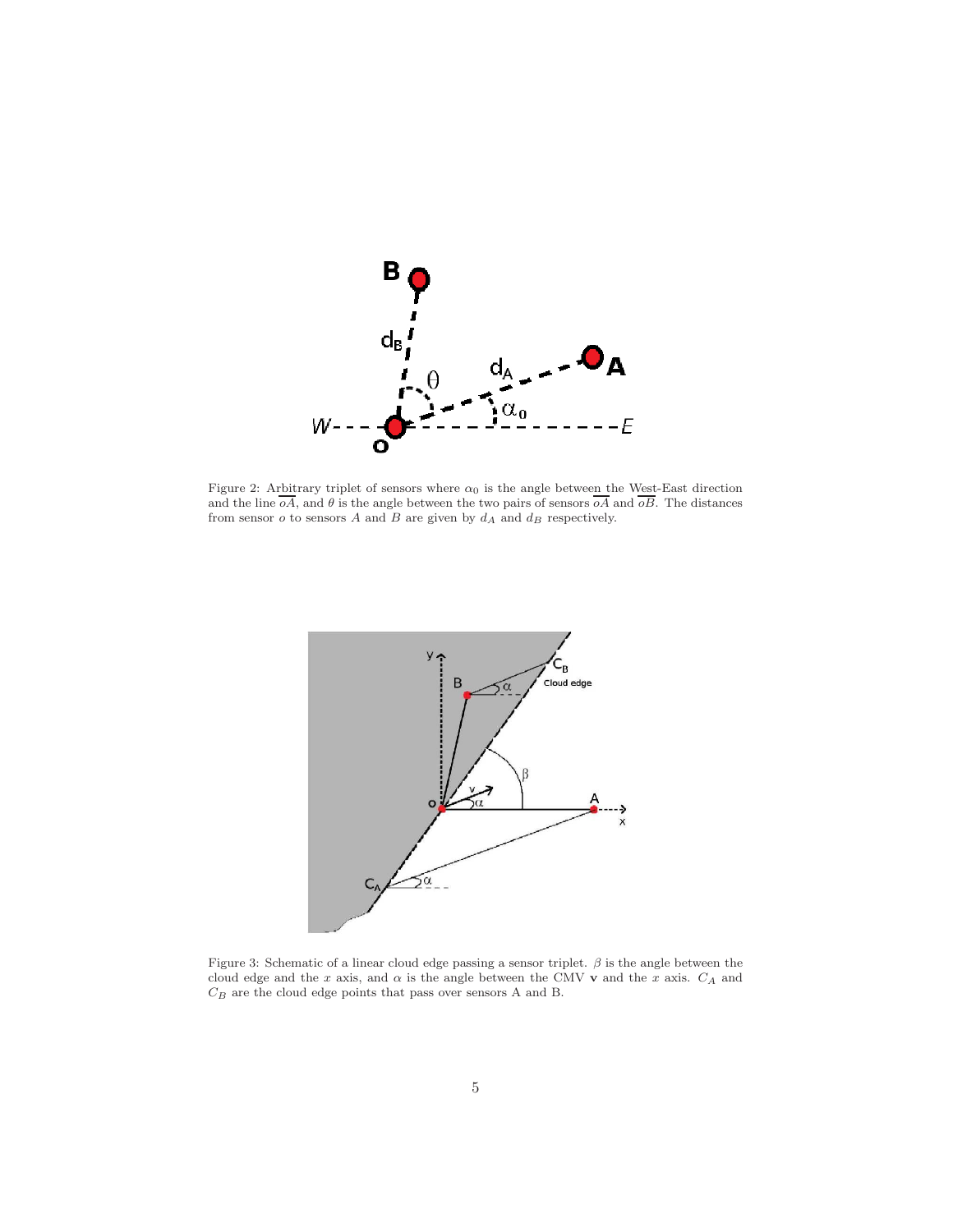

<span id="page-4-0"></span>Figure 2: Arbitrary triplet of sensors where  $\alpha_0$  is the angle between the West-East direction and the line  $oA$ , and  $\theta$  is the angle between the two pairs of sensors  $oA$  and  $oB$ . The distances from sensor  $o$  to sensors A and B are given by  $d_A$  and  $d_B$  respectively.



<span id="page-4-1"></span>Figure 3: Schematic of a linear cloud edge passing a sensor triplet.  $\beta$  is the angle between the cloud edge and the x axis, and  $\alpha$  is the angle between the CMV v and the x axis.  $C_A$  and  $C_B$  are the cloud edge points that pass over sensors A and B.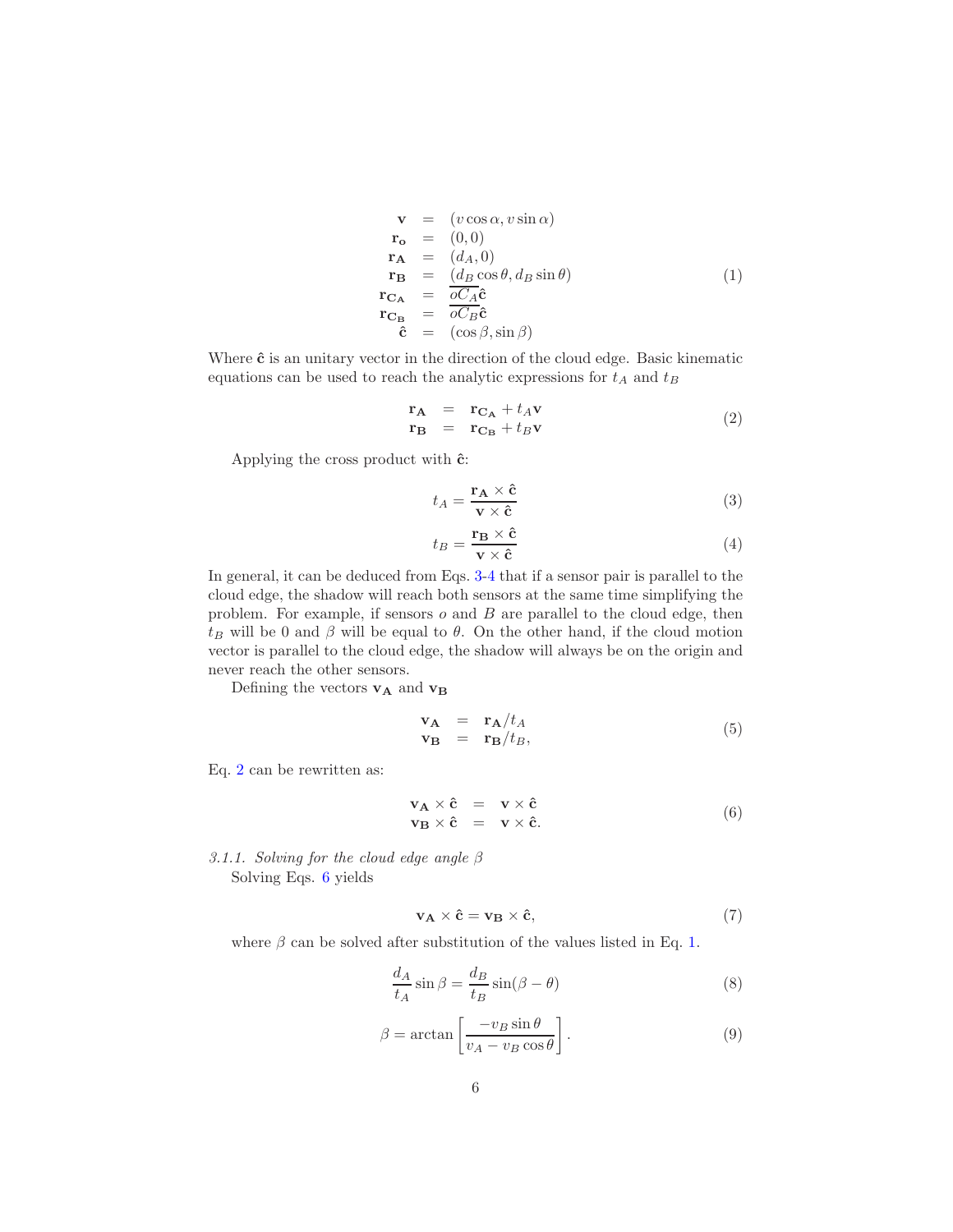<span id="page-5-0"></span>
$$
\mathbf{v} = (v \cos \alpha, v \sin \alpha) \n\mathbf{r_o} = (0,0) \n\mathbf{r_A} = (d_A, 0) \n\mathbf{r_B} = (d_B \cos \theta, d_B \sin \theta) \n\mathbf{r_{C_A}} = \frac{\partial C_A \hat{c}}{\partial C_B \hat{c}} \n\hat{c} = (\cos \beta, \sin \beta)
$$
\n(1)

Where  $\hat{\mathbf{c}}$  is an unitary vector in the direction of the cloud edge. Basic kinematic equations can be used to reach the analytic expressions for  $t_A$  and  $t_B$ 

<span id="page-5-3"></span>
$$
\begin{array}{rcl}\n\mathbf{r}_{\mathbf{A}} & = & \mathbf{r}_{\mathbf{C}_{\mathbf{A}}} + t_{A}\mathbf{v} \\
\mathbf{r}_{\mathbf{B}} & = & \mathbf{r}_{\mathbf{C}_{\mathbf{B}}} + t_{B}\mathbf{v}\n\end{array} \tag{2}
$$

Applying the cross product with  $\hat{c}$ :

<span id="page-5-1"></span>
$$
t_A = \frac{\mathbf{r_A} \times \hat{\mathbf{c}}}{\mathbf{v} \times \hat{\mathbf{c}}}
$$
 (3)

<span id="page-5-2"></span>
$$
t_B = \frac{\mathbf{r_B} \times \hat{\mathbf{c}}}{\mathbf{v} \times \hat{\mathbf{c}}}
$$
 (4)

In general, it can be deduced from Eqs. [3](#page-5-1)[-4](#page-5-2) that if a sensor pair is parallel to the cloud edge, the shadow will reach both sensors at the same time simplifying the problem. For example, if sensors  $o$  and  $B$  are parallel to the cloud edge, then  $t_B$  will be 0 and  $\beta$  will be equal to  $\theta$ . On the other hand, if the cloud motion vector is parallel to the cloud edge, the shadow will always be on the origin and never reach the other sensors.

Defining the vectors  $\mathbf{v}_\mathbf{A}$  and  $\mathbf{v}_\mathbf{B}$ 

$$
\mathbf{v}_{\mathbf{A}} = \mathbf{r}_{\mathbf{A}}/t_A \n\mathbf{v}_{\mathbf{B}} = \mathbf{r}_{\mathbf{B}}/t_B,
$$
\n(5)

Eq. [2](#page-5-3) can be rewritten as:

<span id="page-5-4"></span>
$$
\mathbf{v}_{\mathbf{A}} \times \hat{\mathbf{c}} = \mathbf{v} \times \hat{\mathbf{c}} \n\mathbf{v}_{\mathbf{B}} \times \hat{\mathbf{c}} = \mathbf{v} \times \hat{\mathbf{c}}.
$$
\n(6)

*3.1.1. Solving for the cloud edge angle* β Solving Eqs. [6](#page-5-4) yields

$$
\mathbf{v}_{\mathbf{A}} \times \hat{\mathbf{c}} = \mathbf{v}_{\mathbf{B}} \times \hat{\mathbf{c}},\tag{7}
$$

where  $\beta$  can be solved after substitution of the values listed in Eq. [1.](#page-5-0)

$$
\frac{d_A}{t_A}\sin\beta = \frac{d_B}{t_B}\sin(\beta - \theta)
$$
\n(8)

<span id="page-5-5"></span>
$$
\beta = \arctan\left[\frac{-v_B \sin \theta}{v_A - v_B \cos \theta}\right].
$$
\n(9)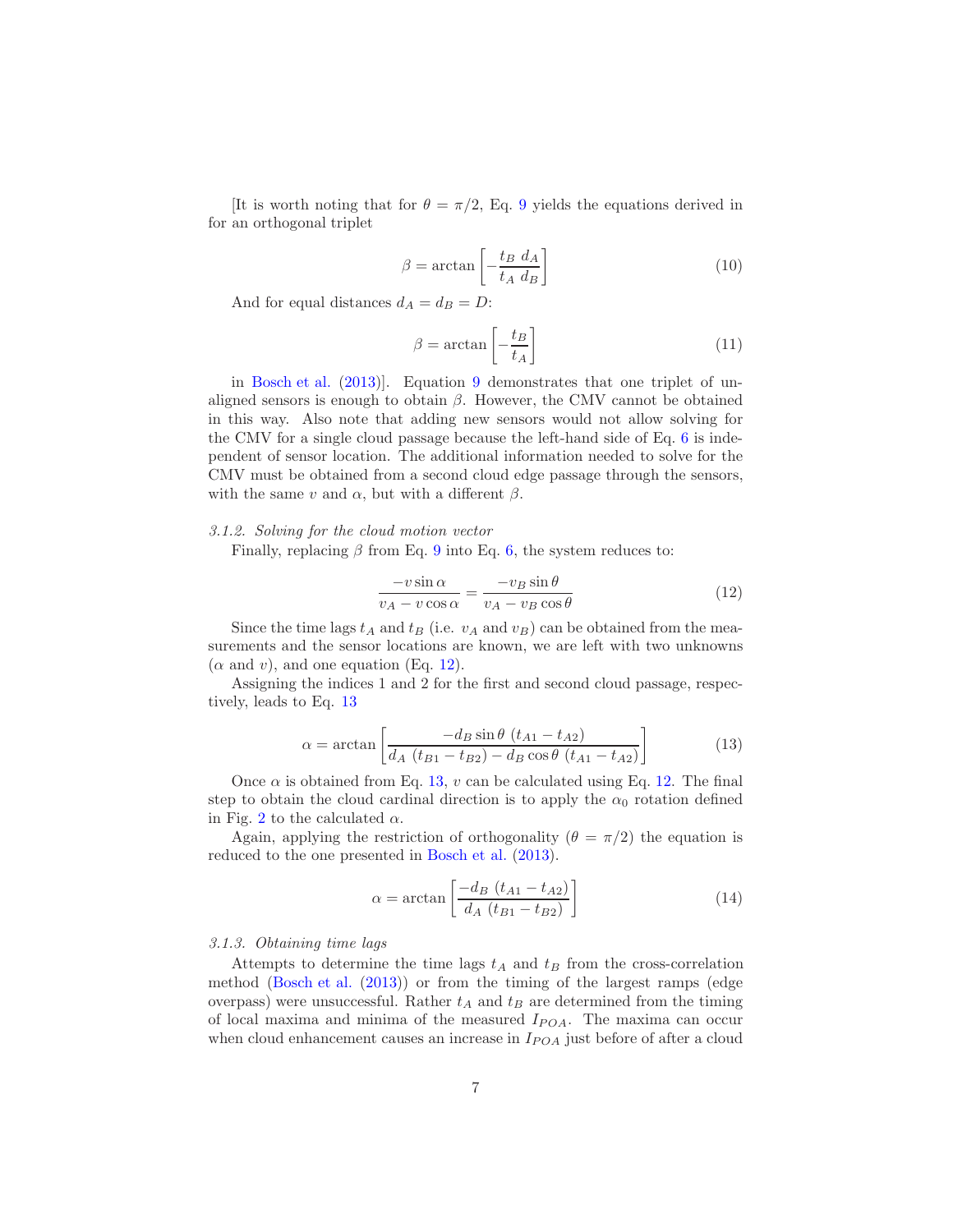[It is worth noting that for  $\theta = \pi/2$ , Eq. [9](#page-5-5) yields the equations derived in for an orthogonal triplet

$$
\beta = \arctan\left[-\frac{t_B \ d_A}{t_A \ d_B}\right] \tag{10}
$$

And for equal distances  $d_A = d_B = D$ :

$$
\beta = \arctan\left[-\frac{t_B}{t_A}\right] \tag{11}
$$

in [Bosch et al.](#page-14-2) [\(2013\)](#page-14-2)]. Equation [9](#page-5-5) demonstrates that one triplet of unaligned sensors is enough to obtain  $\beta$ . However, the CMV cannot be obtained in this way. Also note that adding new sensors would not allow solving for the CMV for a single cloud passage because the left-hand side of Eq. [6](#page-5-4) is independent of sensor location. The additional information needed to solve for the CMV must be obtained from a second cloud edge passage through the sensors, with the same v and  $\alpha$ , but with a different  $\beta$ .

## *3.1.2. Solving for the cloud motion vector*

Finally, replacing  $\beta$  from Eq. [9](#page-5-5) into Eq. [6,](#page-5-4) the system reduces to:

<span id="page-6-1"></span>
$$
\frac{-v\sin\alpha}{v_A - v\cos\alpha} = \frac{-v_B\sin\theta}{v_A - v_B\cos\theta}
$$
(12)

Since the time lags  $t_A$  and  $t_B$  (i.e.  $v_A$  and  $v_B$ ) can be obtained from the measurements and the sensor locations are known, we are left with two unknowns  $(\alpha \text{ and } v)$ , and one equation (Eq. [12\)](#page-6-1).

Assigning the indices 1 and 2 for the first and second cloud passage, respectively, leads to Eq. [13](#page-6-0)

<span id="page-6-0"></span>
$$
\alpha = \arctan\left[\frac{-d_B \sin \theta (t_{A1} - t_{A2})}{d_A (t_{B1} - t_{B2}) - d_B \cos \theta (t_{A1} - t_{A2})}\right]
$$
(13)

Once  $\alpha$  is obtained from Eq. [13,](#page-6-0) v can be calculated using Eq. [12.](#page-6-1) The final step to obtain the cloud cardinal direction is to apply the  $\alpha_0$  rotation defined in Fig. [2](#page-4-0) to the calculated  $\alpha$ .

Again, applying the restriction of orthogonality ( $\theta = \pi/2$ ) the equation is reduced to the one presented in [Bosch et al.](#page-14-2) [\(2013\)](#page-14-2).

$$
\alpha = \arctan\left[\frac{-d_B(t_{A1} - t_{A2})}{d_A(t_{B1} - t_{B2})}\right]
$$
\n(14)

#### *3.1.3. Obtaining time lags*

Attempts to determine the time lags  $t_A$  and  $t_B$  from the cross-correlation method [\(Bosch et al.](#page-14-2) [\(2013](#page-14-2))) or from the timing of the largest ramps (edge overpass) were unsuccessful. Rather  $t_A$  and  $t_B$  are determined from the timing of local maxima and minima of the measured  $I_{POA}$ . The maxima can occur when cloud enhancement causes an increase in  $I_{POA}$  just before of after a cloud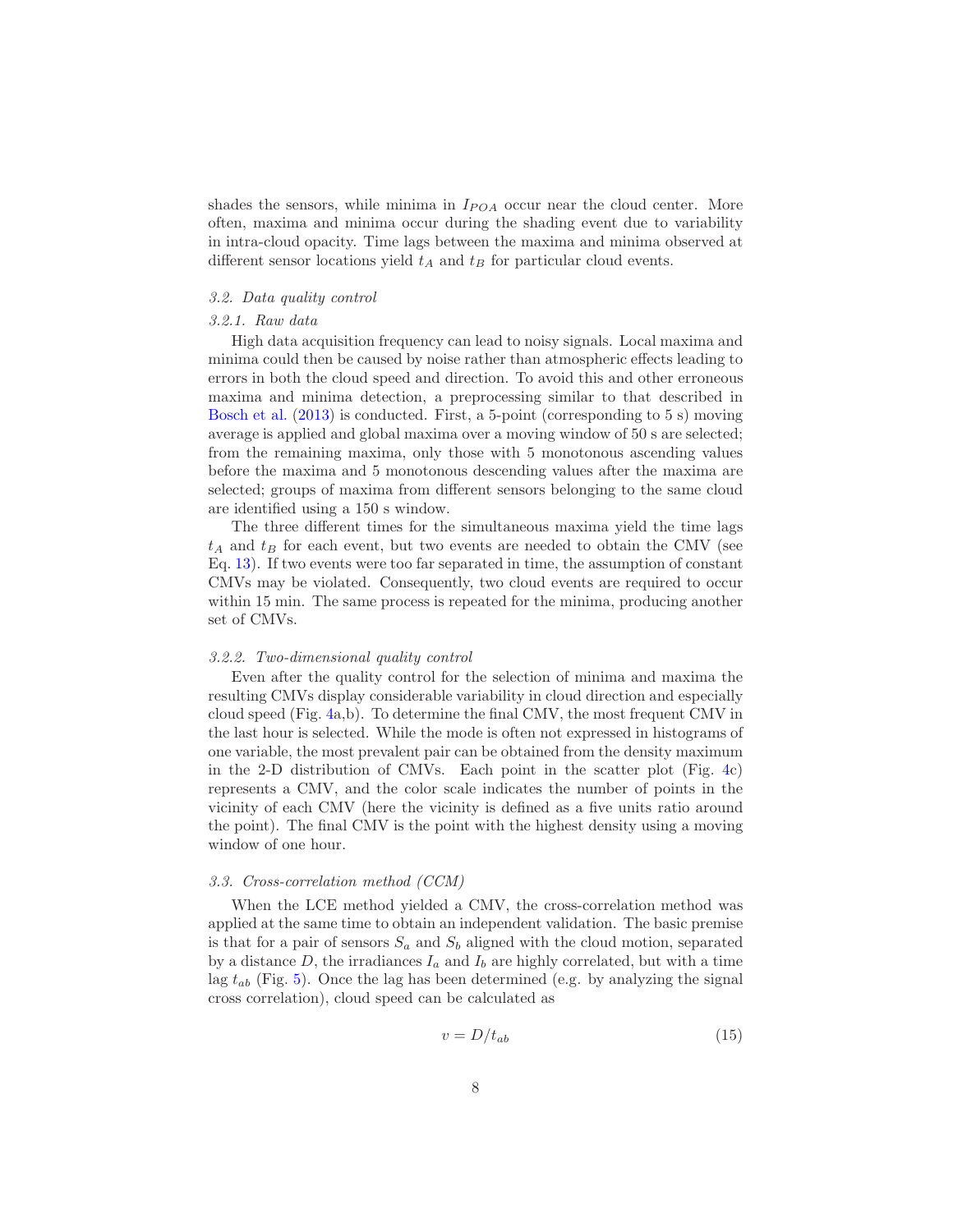shades the sensors, while minima in  $I_{POA}$  occur near the cloud center. More often, maxima and minima occur during the shading event due to variability in intra-cloud opacity. Time lags between the maxima and minima observed at different sensor locations yield  $t_A$  and  $t_B$  for particular cloud events.

# *3.2. Data quality control*

# *3.2.1. Raw data*

High data acquisition frequency can lead to noisy signals. Local maxima and minima could then be caused by noise rather than atmospheric effects leading to errors in both the cloud speed and direction. To avoid this and other erroneous maxima and minima detection, a preprocessing similar to that described in [Bosch et al.](#page-14-2) [\(2013\)](#page-14-2) is conducted. First, a 5-point (corresponding to 5 s) moving average is applied and global maxima over a moving window of 50 s are selected; from the remaining maxima, only those with 5 monotonous ascending values before the maxima and 5 monotonous descending values after the maxima are selected; groups of maxima from different sensors belonging to the same cloud are identified using a 150 s window.

The three different times for the simultaneous maxima yield the time lags  $t_A$  and  $t_B$  for each event, but two events are needed to obtain the CMV (see Eq. [13\)](#page-6-0). If two events were too far separated in time, the assumption of constant CMVs may be violated. Consequently, two cloud events are required to occur within 15 min. The same process is repeated for the minima, producing another set of CMVs.

## <span id="page-7-0"></span>*3.2.2. Two-dimensional quality control*

Even after the quality control for the selection of minima and maxima the resulting CMVs display considerable variability in cloud direction and especially cloud speed (Fig. [4a](#page-8-0),b). To determine the final CMV, the most frequent CMV in the last hour is selected. While the mode is often not expressed in histograms of one variable, the most prevalent pair can be obtained from the density maximum in the 2-D distribution of CMVs. Each point in the scatter plot (Fig. [4c](#page-8-0)) represents a CMV, and the color scale indicates the number of points in the vicinity of each CMV (here the vicinity is defined as a five units ratio around the point). The final CMV is the point with the highest density using a moving window of one hour.

## <span id="page-7-1"></span>*3.3. Cross-correlation method (CCM)*

When the LCE method yielded a CMV, the cross-correlation method was applied at the same time to obtain an independent validation. The basic premise is that for a pair of sensors  $S_a$  and  $S_b$  aligned with the cloud motion, separated by a distance  $D$ , the irradiances  $I_a$  and  $I_b$  are highly correlated, but with a time lag  $t_{ab}$  (Fig. [5\)](#page-9-0). Once the lag has been determined (e.g. by analyzing the signal cross correlation), cloud speed can be calculated as

$$
v = D/t_{ab} \tag{15}
$$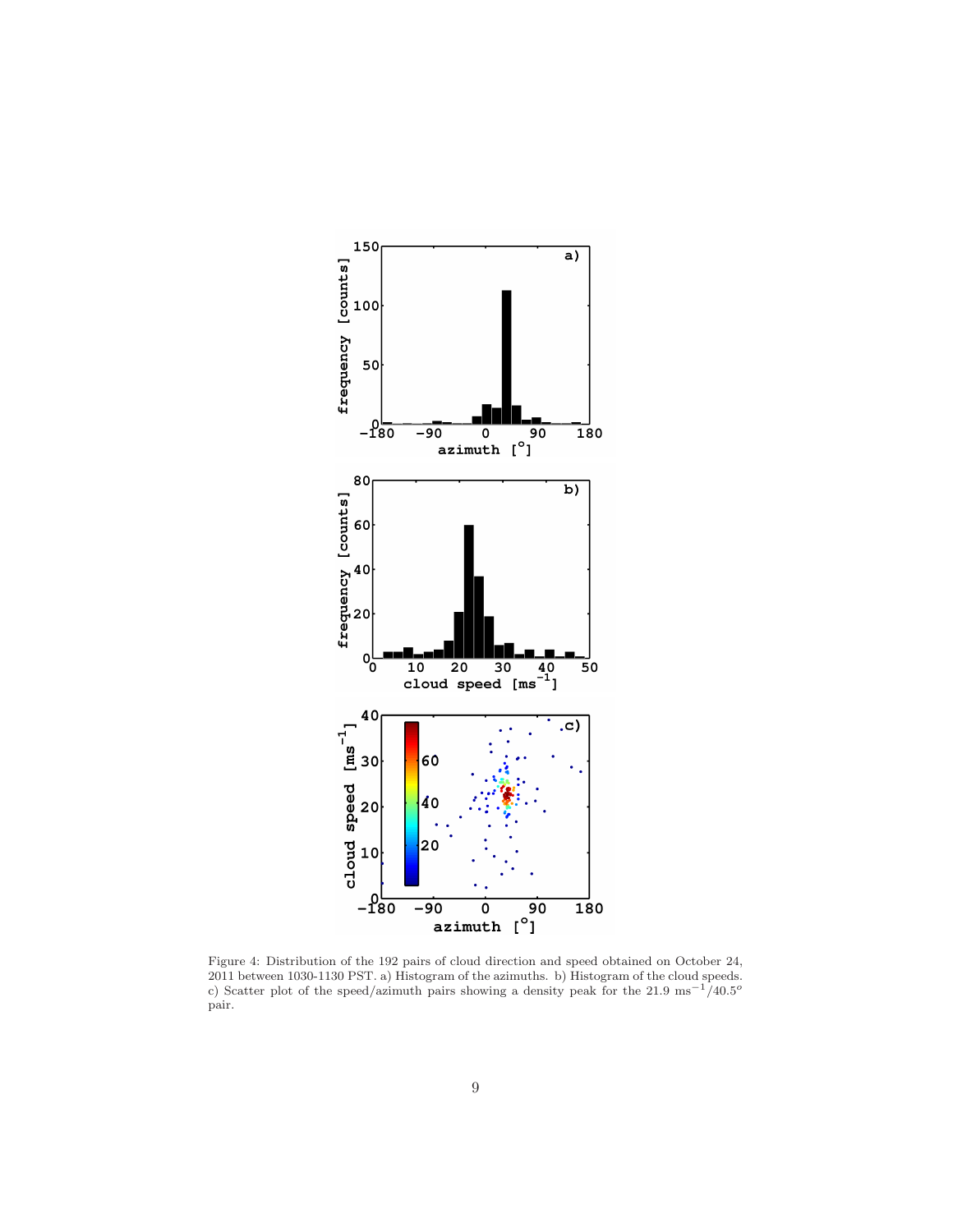

<span id="page-8-0"></span>Figure 4: Distribution of the 192 pairs of cloud direction and speed obtained on October 24, 2011 between 1030-1130 PST. a) Histogram of the azimuths. b) Histogram of the cloud speeds. c) Scatter plot of the speed/azimuth pairs showing a density peak for the 21.9 ms<sup>-1</sup>/40.5<sup>o</sup> pair.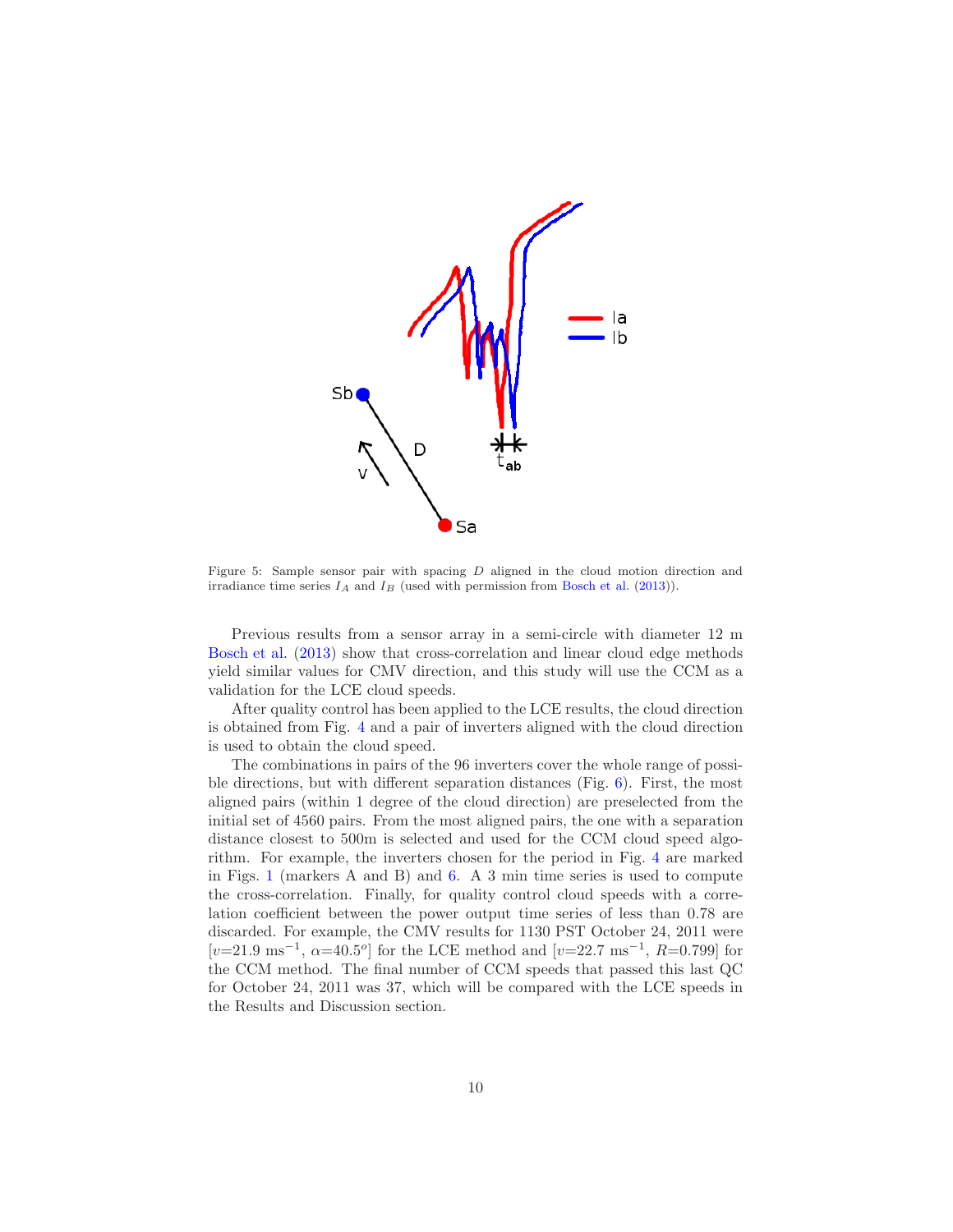

<span id="page-9-0"></span>Figure 5: Sample sensor pair with spacing D aligned in the cloud motion direction and irradiance time series  $I_A$  and  $I_B$  (used with permission from [Bosch et al.](#page-14-2) [\(2013\)](#page-14-2)).

Previous results from a sensor array in a semi-circle with diameter 12 m [Bosch et al.](#page-14-2) [\(2013\)](#page-14-2) show that cross-correlation and linear cloud edge methods yield similar values for CMV direction, and this study will use the CCM as a validation for the LCE cloud speeds.

After quality control has been applied to the LCE results, the cloud direction is obtained from Fig. [4](#page-8-0) and a pair of inverters aligned with the cloud direction is used to obtain the cloud speed.

The combinations in pairs of the 96 inverters cover the whole range of possible directions, but with different separation distances (Fig. [6\)](#page-10-1). First, the most aligned pairs (within 1 degree of the cloud direction) are preselected from the initial set of 4560 pairs. From the most aligned pairs, the one with a separation distance closest to 500m is selected and used for the CCM cloud speed algorithm. For example, the inverters chosen for the period in Fig. [4](#page-8-0) are marked in Figs. [1](#page-3-1) (markers A and B) and [6.](#page-10-1) A 3 min time series is used to compute the cross-correlation. Finally, for quality control cloud speeds with a correlation coefficient between the power output time series of less than 0.78 are discarded. For example, the CMV results for 1130 PST October 24, 2011 were  $[v=21.9 \text{ ms}^{-1}, \ \alpha=40.5^{\circ}]$  for the LCE method and  $[v=22.7 \text{ ms}^{-1}, \ R=0.799]$  for the CCM method. The final number of CCM speeds that passed this last QC for October 24, 2011 was 37, which will be compared with the LCE speeds in the Results and Discussion section.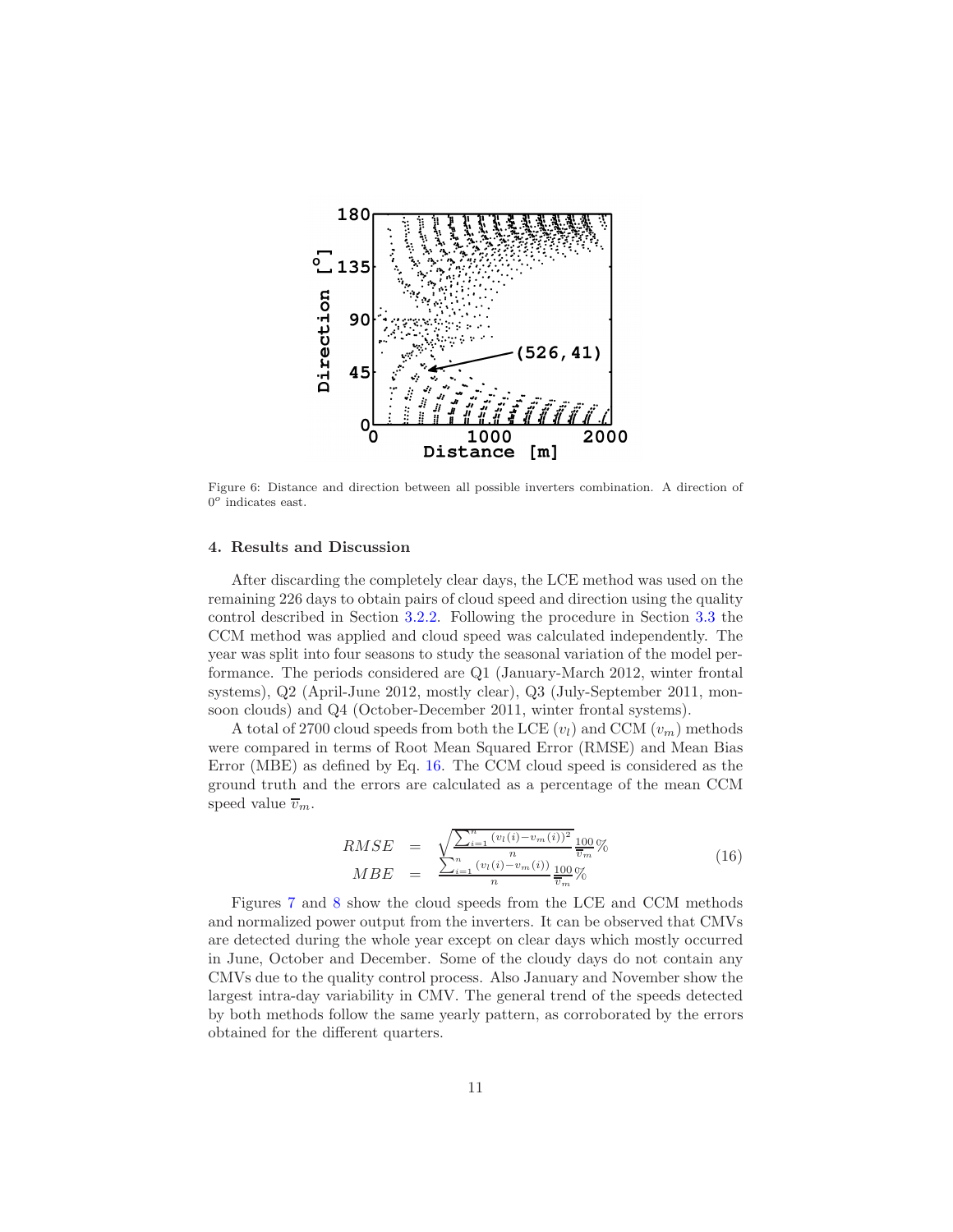

<span id="page-10-1"></span>Figure 6: Distance and direction between all possible inverters combination. A direction of  $0^o$  indicates east.

## <span id="page-10-0"></span>4. Results and Discussion

After discarding the completely clear days, the LCE method was used on the remaining 226 days to obtain pairs of cloud speed and direction using the quality control described in Section [3.2.2.](#page-7-0) Following the procedure in Section [3.3](#page-7-1) the CCM method was applied and cloud speed was calculated independently. The year was split into four seasons to study the seasonal variation of the model performance. The periods considered are Q1 (January-March 2012, winter frontal systems), Q2 (April-June 2012, mostly clear), Q3 (July-September 2011, monsoon clouds) and Q4 (October-December 2011, winter frontal systems).

A total of 2700 cloud speeds from both the LCE  $(v_l)$  and CCM  $(v_m)$  methods were compared in terms of Root Mean Squared Error (RMSE) and Mean Bias Error (MBE) as defined by Eq. [16.](#page-10-2) The CCM cloud speed is considered as the ground truth and the errors are calculated as a percentage of the mean CCM speed value  $\overline{v}_m$ .

<span id="page-10-2"></span>
$$
RMSE = \sqrt{\frac{\sum_{i=1}^{n} (v_l(i) - v_m(i))^2}{n}} \frac{100}{\bar{v}_m} \%
$$
  
\n
$$
MBE = \frac{\sum_{i=1}^{n} (v_l(i) - v_m(i))}{n} \frac{100}{\bar{v}_m} \%
$$
\n(16)

Figures [7](#page-11-0) and [8](#page-12-0) show the cloud speeds from the LCE and CCM methods and normalized power output from the inverters. It can be observed that CMVs are detected during the whole year except on clear days which mostly occurred in June, October and December. Some of the cloudy days do not contain any CMVs due to the quality control process. Also January and November show the largest intra-day variability in CMV. The general trend of the speeds detected by both methods follow the same yearly pattern, as corroborated by the errors obtained for the different quarters.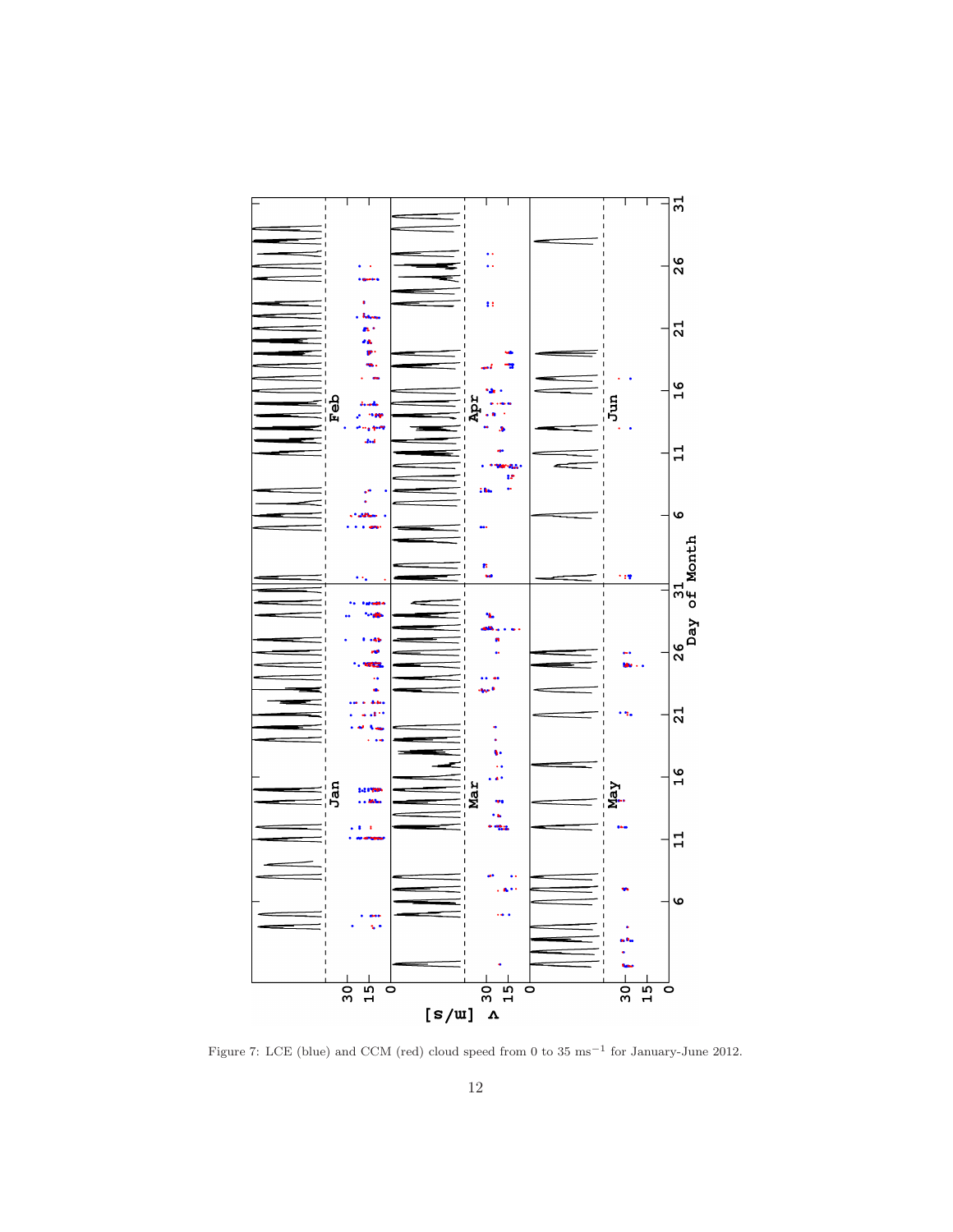

<span id="page-11-0"></span>Figure 7: LCE (blue) and CCM (red) cloud speed from 0 to 35 ms−<sup>1</sup> for January-June 2012.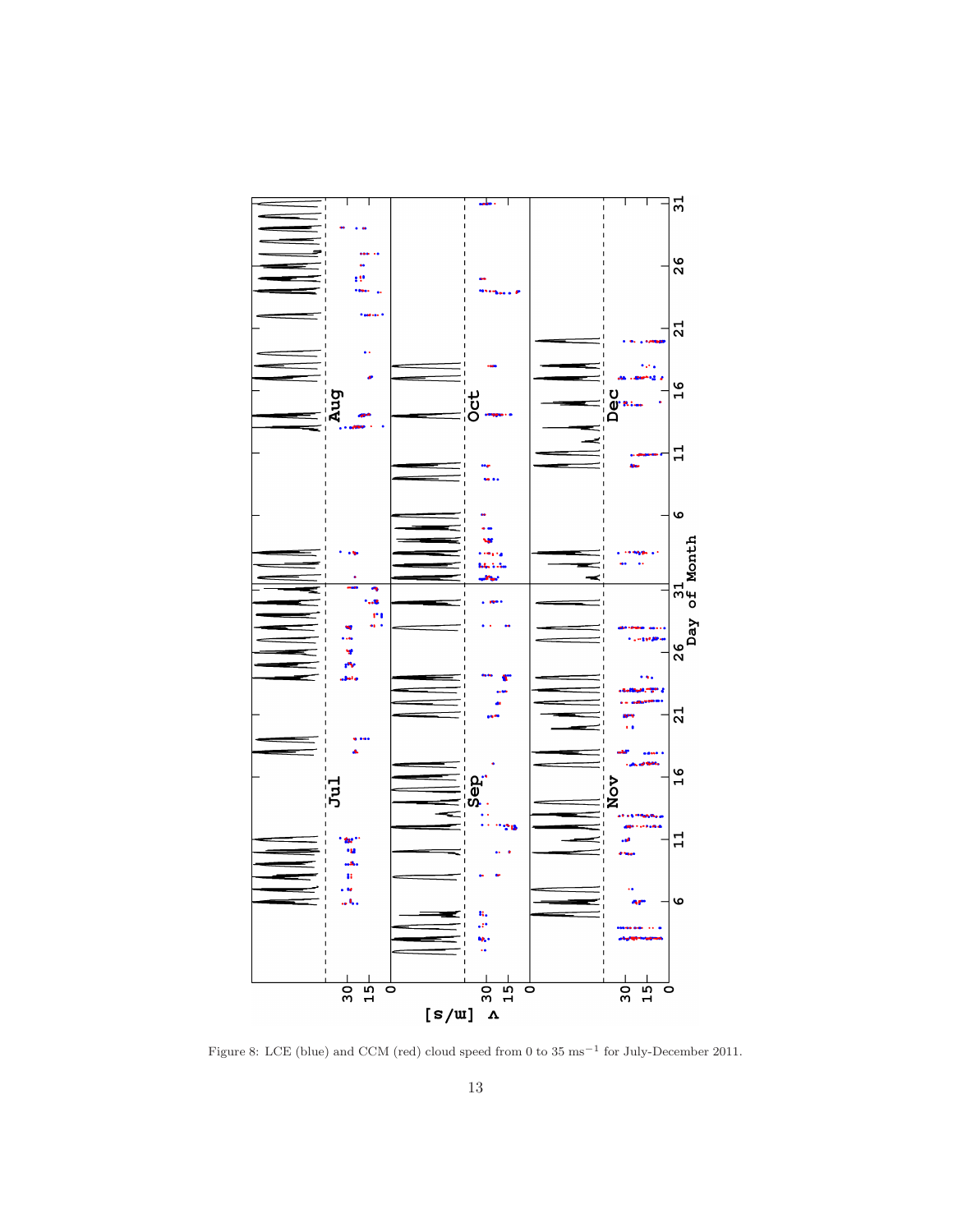

<span id="page-12-0"></span>Figure 8: LCE (blue) and CCM (red) cloud speed from 0 to 35 ms−<sup>1</sup> for July-December 2011.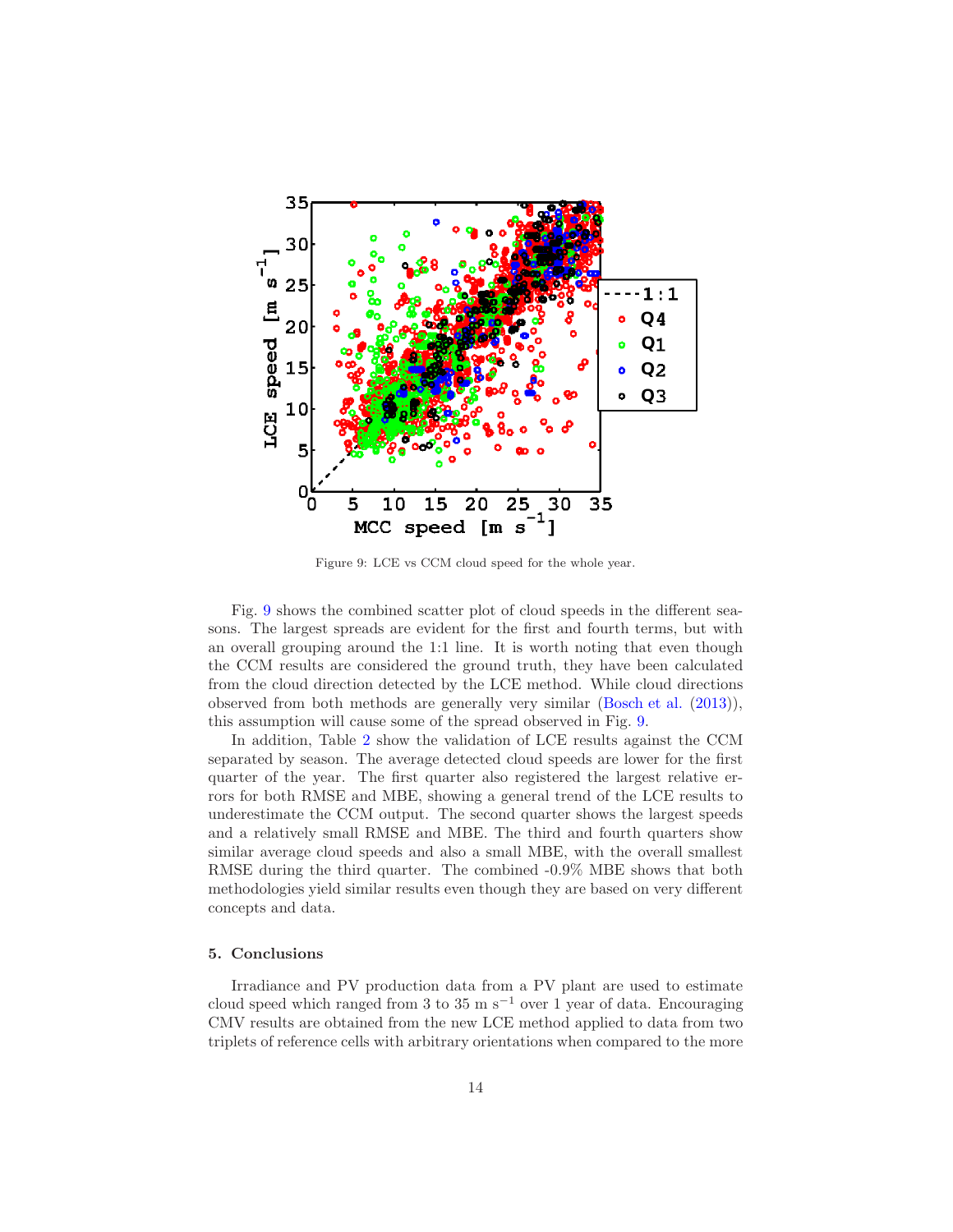

<span id="page-13-0"></span>Figure 9: LCE vs CCM cloud speed for the whole year.

Fig. [9](#page-13-0) shows the combined scatter plot of cloud speeds in the different seasons. The largest spreads are evident for the first and fourth terms, but with an overall grouping around the 1:1 line. It is worth noting that even though the CCM results are considered the ground truth, they have been calculated from the cloud direction detected by the LCE method. While cloud directions observed from both methods are generally very similar [\(Bosch et al.](#page-14-2) [\(2013\)](#page-14-2)), this assumption will cause some of the spread observed in Fig. [9.](#page-13-0)

In addition, Table [2](#page-14-5) show the validation of LCE results against the CCM separated by season. The average detected cloud speeds are lower for the first quarter of the year. The first quarter also registered the largest relative errors for both RMSE and MBE, showing a general trend of the LCE results to underestimate the CCM output. The second quarter shows the largest speeds and a relatively small RMSE and MBE. The third and fourth quarters show similar average cloud speeds and also a small MBE, with the overall smallest RMSE during the third quarter. The combined -0.9% MBE shows that both methodologies yield similar results even though they are based on very different concepts and data.

## 5. Conclusions

Irradiance and PV production data from a PV plant are used to estimate cloud speed which ranged from 3 to 35 m s<sup> $-1$ </sup> over 1 year of data. Encouraging CMV results are obtained from the new LCE method applied to data from two triplets of reference cells with arbitrary orientations when compared to the more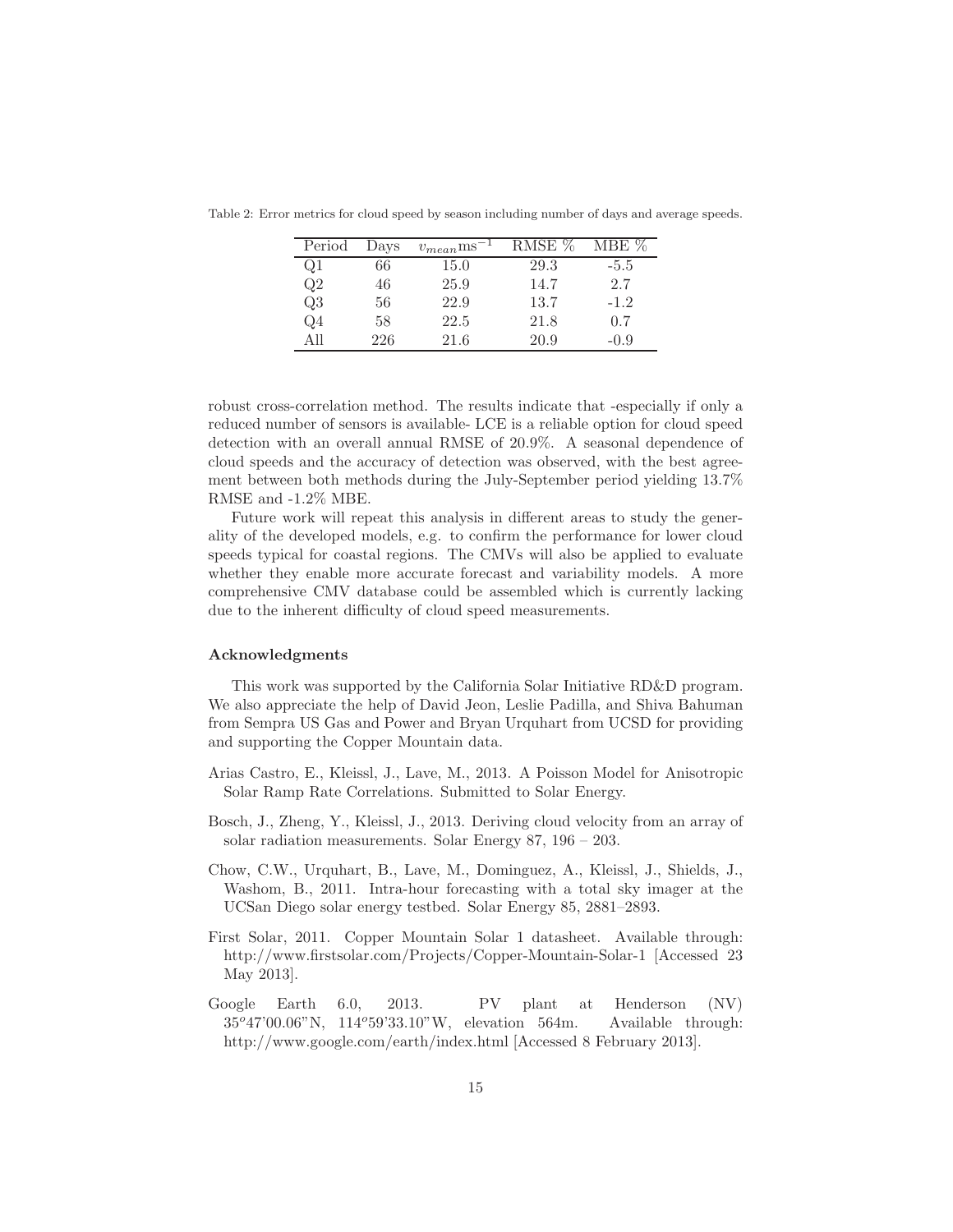<span id="page-14-5"></span>

| Period         | Days | $v_{mean}$ ms | RMSE % | $MBE \%$ |
|----------------|------|---------------|--------|----------|
| Q1             | 66   | 15.0          | 29.3   | $-5.5$   |
| Q2             | 46   | 25.9          | 14.7   | 2.7      |
| Q3             | 56   | 22.9          | 13.7   | $-1.2$   |
| Q <sub>4</sub> | 58   | 22.5          | 21.8   | 0.7      |
| A 11           | 226  | 21.6          | 20.9   | $-0.9$   |

Table 2: Error metrics for cloud speed by season including number of days and average speeds.

robust cross-correlation method. The results indicate that -especially if only a reduced number of sensors is available- LCE is a reliable option for cloud speed detection with an overall annual RMSE of 20.9%. A seasonal dependence of cloud speeds and the accuracy of detection was observed, with the best agreement between both methods during the July-September period yielding 13.7% RMSE and -1.2% MBE.

Future work will repeat this analysis in different areas to study the generality of the developed models, e.g. to confirm the performance for lower cloud speeds typical for coastal regions. The CMVs will also be applied to evaluate whether they enable more accurate forecast and variability models. A more comprehensive CMV database could be assembled which is currently lacking due to the inherent difficulty of cloud speed measurements.

#### Acknowledgments

This work was supported by the California Solar Initiative RD&D program. We also appreciate the help of David Jeon, Leslie Padilla, and Shiva Bahuman from Sempra US Gas and Power and Bryan Urquhart from UCSD for providing and supporting the Copper Mountain data.

- <span id="page-14-1"></span>Arias Castro, E., Kleissl, J., Lave, M., 2013. A Poisson Model for Anisotropic Solar Ramp Rate Correlations. Submitted to Solar Energy.
- <span id="page-14-2"></span>Bosch, J., Zheng, Y., Kleissl, J., 2013. Deriving cloud velocity from an array of solar radiation measurements. Solar Energy 87, 196 – 203.
- <span id="page-14-0"></span>Chow, C.W., Urquhart, B., Lave, M., Dominguez, A., Kleissl, J., Shields, J., Washom, B., 2011. Intra-hour forecasting with a total sky imager at the UCSan Diego solar energy testbed. Solar Energy 85, 2881–2893.
- <span id="page-14-3"></span>First Solar, 2011. Copper Mountain Solar 1 datasheet. Available through: http://www.firstsolar.com/Projects/Copper-Mountain-Solar-1 [Accessed 23 May 2013].
- <span id="page-14-4"></span>Google Earth 6.0, 2013. PV plant at Henderson (NV) 35°47'00.06"N, 114°59'33.10"W, elevation 564m. Available through: http://www.google.com/earth/index.html [Accessed 8 February 2013].